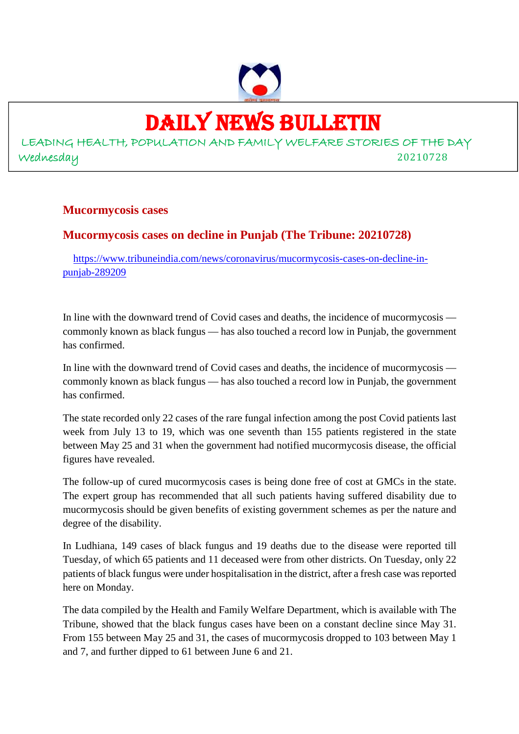# DAILY NEWS BULLETIN

LEADING HEALTH, POPULATION AND FAMILY WELFARE STORIES OF THE DAY Wednesday 20210728

#### **Mucormycosis cases**

# **Mucormycosis cases on decline in Punjab (The Tribune: 20210728)**

https://www.tribuneindia.com/news/coronavirus/mucormycosis-cases-on-decline-inpunjab-289209

In line with the downward trend of Covid cases and deaths, the incidence of mucormycosis commonly known as black fungus — has also touched a record low in Punjab, the government has confirmed.

In line with the downward trend of Covid cases and deaths, the incidence of mucormycosis commonly known as black fungus — has also touched a record low in Punjab, the government has confirmed.

The state recorded only 22 cases of the rare fungal infection among the post Covid patients last week from July 13 to 19, which was one seventh than 155 patients registered in the state between May 25 and 31 when the government had notified mucormycosis disease, the official figures have revealed.

The follow-up of cured mucormycosis cases is being done free of cost at GMCs in the state. The expert group has recommended that all such patients having suffered disability due to mucormycosis should be given benefits of existing government schemes as per the nature and degree of the disability.

In Ludhiana, 149 cases of black fungus and 19 deaths due to the disease were reported till Tuesday, of which 65 patients and 11 deceased were from other districts. On Tuesday, only 22 patients of black fungus were under hospitalisation in the district, after a fresh case was reported here on Monday.

The data compiled by the Health and Family Welfare Department, which is available with The Tribune, showed that the black fungus cases have been on a constant decline since May 31. From 155 between May 25 and 31, the cases of mucormycosis dropped to 103 between May 1 and 7, and further dipped to 61 between June 6 and 21.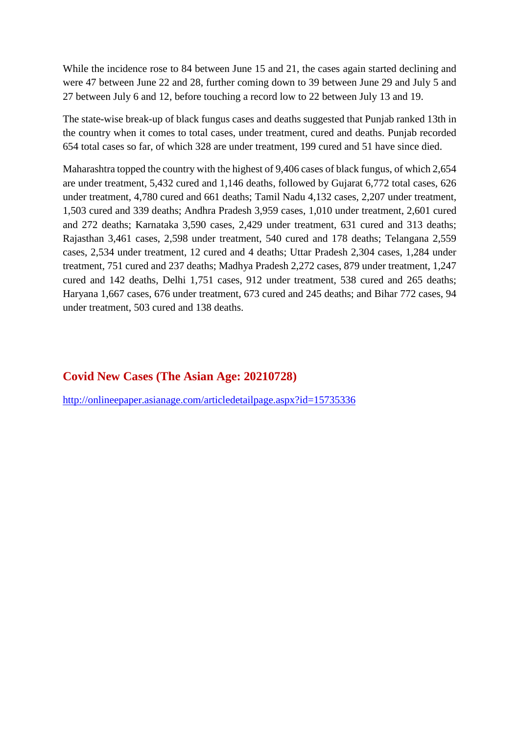While the incidence rose to 84 between June 15 and 21, the cases again started declining and were 47 between June 22 and 28, further coming down to 39 between June 29 and July 5 and 27 between July 6 and 12, before touching a record low to 22 between July 13 and 19.

The state-wise break-up of black fungus cases and deaths suggested that Punjab ranked 13th in the country when it comes to total cases, under treatment, cured and deaths. Punjab recorded 654 total cases so far, of which 328 are under treatment, 199 cured and 51 have since died.

Maharashtra topped the country with the highest of 9,406 cases of black fungus, of which 2,654 are under treatment, 5,432 cured and 1,146 deaths, followed by Gujarat 6,772 total cases, 626 under treatment, 4,780 cured and 661 deaths; Tamil Nadu 4,132 cases, 2,207 under treatment, 1,503 cured and 339 deaths; Andhra Pradesh 3,959 cases, 1,010 under treatment, 2,601 cured and 272 deaths; Karnataka 3,590 cases, 2,429 under treatment, 631 cured and 313 deaths; Rajasthan 3,461 cases, 2,598 under treatment, 540 cured and 178 deaths; Telangana 2,559 cases, 2,534 under treatment, 12 cured and 4 deaths; Uttar Pradesh 2,304 cases, 1,284 under treatment, 751 cured and 237 deaths; Madhya Pradesh 2,272 cases, 879 under treatment, 1,247 cured and 142 deaths, Delhi 1,751 cases, 912 under treatment, 538 cured and 265 deaths; Haryana 1,667 cases, 676 under treatment, 673 cured and 245 deaths; and Bihar 772 cases, 94 under treatment, 503 cured and 138 deaths.

#### **Covid New Cases (The Asian Age: 20210728)**

http://onlineepaper.asianage.com/articledetailpage.aspx?id=15735336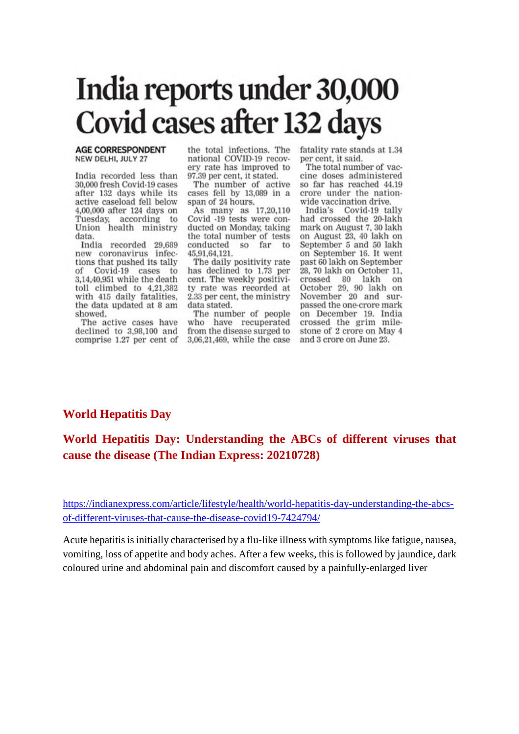# India reports under 30,000 **Covid cases after 132 days**

#### **AGE CORRESPONDENT** NEW DELHI, JULY 27

India recorded less than 30,000 fresh Covid-19 cases after 132 days while its active caseload fell below 4,00,000 after 124 days on Tuesday, according to Union health ministry data.

India recorded 29,689 new coronavirus infections that pushed its tally Covid-19 cases to of 3,14,40,951 while the death toll climbed to  $4,21,382$ with 415 daily fatalities, the data updated at 8 am showed.

The active cases have declined to 3,98,100 and comprise 1.27 per cent of

the total infections. The national COVID-19 recovery rate has improved to 97.39 per cent, it stated.

The number of active cases fell by 13,089 in a span of 24 hours.

As many as 17,20,110 Covid -19 tests were conducted on Monday, taking the total number of tests conducted so far to 45,91,64,121.

The daily positivity rate has declined to 1.73 per cent. The weekly positivity rate was recorded at 2.33 per cent, the ministry data stated.

The number of people who have recuperated from the disease surged to 3,06,21,469, while the case fatality rate stands at 1.34 per cent, it said.

The total number of vaccine doses administered so far has reached 44.19 crore under the nationwide vaccination drive.

India's Covid-19 tally had crossed the 20-lakh mark on August 7, 30 lakh on August 23, 40 lakh on September 5 and 50 lakh on September 16. It went past 60 lakh on September 28, 70 lakh on October 11, crossed 80 lakh on October 29, 90 lakh on November 20 and surpassed the one-crore mark on December 19. India crossed the grim mile-<br>stone of 2 crore on May 4 and 3 crore on June 23.

#### **World Hepatitis Day**

## **World Hepatitis Day: Understanding the ABCs of different viruses that cause the disease (The Indian Express: 20210728)**

https://indianexpress.com/article/lifestyle/health/world-hepatitis-day-understanding-the-abcsof-different-viruses-that-cause-the-disease-covid19-7424794/

Acute hepatitis is initially characterised by a flu-like illness with symptoms like fatigue, nausea, vomiting, loss of appetite and body aches. After a few weeks, this is followed by jaundice, dark coloured urine and abdominal pain and discomfort caused by a painfully-enlarged liver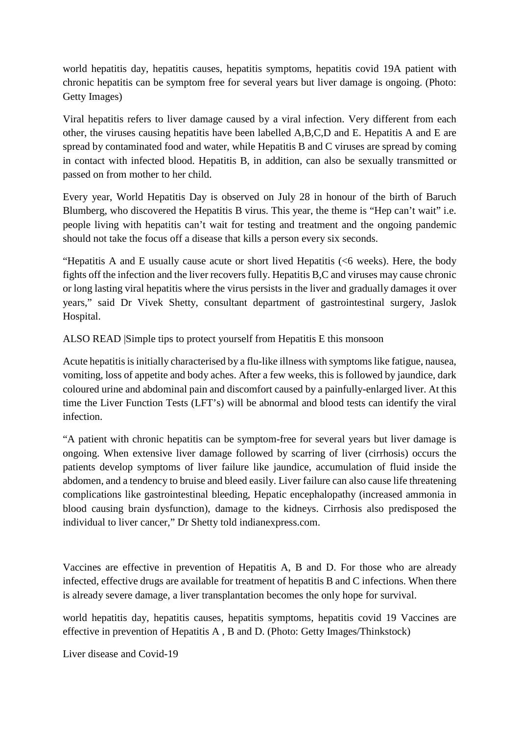world hepatitis day, hepatitis causes, hepatitis symptoms, hepatitis covid 19A patient with chronic hepatitis can be symptom free for several years but liver damage is ongoing. (Photo: Getty Images)

Viral hepatitis refers to liver damage caused by a viral infection. Very different from each other, the viruses causing hepatitis have been labelled A,B,C,D and E. Hepatitis A and E are spread by contaminated food and water, while Hepatitis B and C viruses are spread by coming in contact with infected blood. Hepatitis B, in addition, can also be sexually transmitted or passed on from mother to her child.

Every year, World Hepatitis Day is observed on July 28 in honour of the birth of Baruch Blumberg, who discovered the Hepatitis B virus. This year, the theme is "Hep can't wait" i.e. people living with hepatitis can't wait for testing and treatment and the ongoing pandemic should not take the focus off a disease that kills a person every six seconds.

"Hepatitis A and E usually cause acute or short lived Hepatitis (<6 weeks). Here, the body fights off the infection and the liver recovers fully. Hepatitis B,C and viruses may cause chronic or long lasting viral hepatitis where the virus persists in the liver and gradually damages it over years," said Dr Vivek Shetty, consultant department of gastrointestinal surgery, Jaslok Hospital.

ALSO READ |Simple tips to protect yourself from Hepatitis E this monsoon

Acute hepatitis is initially characterised by a flu-like illness with symptoms like fatigue, nausea, vomiting, loss of appetite and body aches. After a few weeks, this is followed by jaundice, dark coloured urine and abdominal pain and discomfort caused by a painfully-enlarged liver. At this time the Liver Function Tests (LFT's) will be abnormal and blood tests can identify the viral infection.

"A patient with chronic hepatitis can be symptom-free for several years but liver damage is ongoing. When extensive liver damage followed by scarring of liver (cirrhosis) occurs the patients develop symptoms of liver failure like jaundice, accumulation of fluid inside the abdomen, and a tendency to bruise and bleed easily. Liver failure can also cause life threatening complications like gastrointestinal bleeding, Hepatic encephalopathy (increased ammonia in blood causing brain dysfunction), damage to the kidneys. Cirrhosis also predisposed the individual to liver cancer," Dr Shetty told indianexpress.com.

Vaccines are effective in prevention of Hepatitis A, B and D. For those who are already infected, effective drugs are available for treatment of hepatitis B and C infections. When there is already severe damage, a liver transplantation becomes the only hope for survival.

world hepatitis day, hepatitis causes, hepatitis symptoms, hepatitis covid 19 Vaccines are effective in prevention of Hepatitis A , B and D. (Photo: Getty Images/Thinkstock)

Liver disease and Covid-19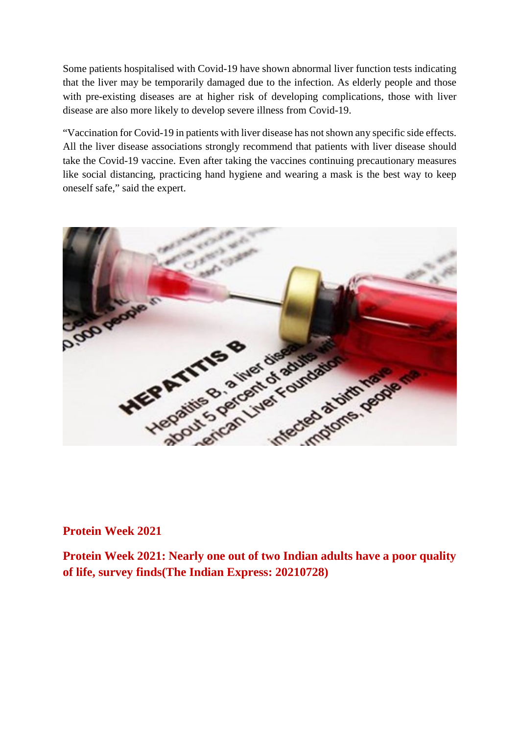Some patients hospitalised with Covid-19 have shown abnormal liver function tests indicating that the liver may be temporarily damaged due to the infection. As elderly people and those with pre-existing diseases are at higher risk of developing complications, those with liver disease are also more likely to develop severe illness from Covid-19.

"Vaccination for Covid-19 in patients with liver disease has not shown any specific side effects. All the liver disease associations strongly recommend that patients with liver disease should take the Covid-19 vaccine. Even after taking the vaccines continuing precautionary measures like social distancing, practicing hand hygiene and wearing a mask is the best way to keep oneself safe," said the expert.



#### **Protein Week 2021**

**Protein Week 2021: Nearly one out of two Indian adults have a poor quality of life, survey finds(The Indian Express: 20210728)**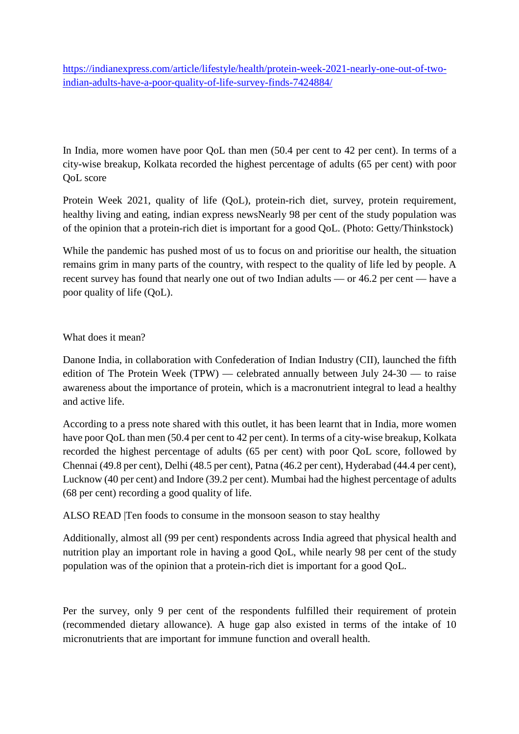https://indianexpress.com/article/lifestyle/health/protein-week-2021-nearly-one-out-of-twoindian-adults-have-a-poor-quality-of-life-survey-finds-7424884/

In India, more women have poor OoL than men (50.4 per cent to 42 per cent). In terms of a city-wise breakup, Kolkata recorded the highest percentage of adults (65 per cent) with poor QoL score

Protein Week 2021, quality of life (QoL), protein-rich diet, survey, protein requirement, healthy living and eating, indian express newsNearly 98 per cent of the study population was of the opinion that a protein-rich diet is important for a good QoL. (Photo: Getty/Thinkstock)

While the pandemic has pushed most of us to focus on and prioritise our health, the situation remains grim in many parts of the country, with respect to the quality of life led by people. A recent survey has found that nearly one out of two Indian adults — or 46.2 per cent — have a poor quality of life (QoL).

#### What does it mean?

Danone India, in collaboration with Confederation of Indian Industry (CII), launched the fifth edition of The Protein Week (TPW) — celebrated annually between July 24-30 — to raise awareness about the importance of protein, which is a macronutrient integral to lead a healthy and active life.

According to a press note shared with this outlet, it has been learnt that in India, more women have poor QoL than men (50.4 per cent to 42 per cent). In terms of a city-wise breakup, Kolkata recorded the highest percentage of adults (65 per cent) with poor QoL score, followed by Chennai (49.8 per cent), Delhi (48.5 per cent), Patna (46.2 per cent), Hyderabad (44.4 per cent), Lucknow (40 per cent) and Indore (39.2 per cent). Mumbai had the highest percentage of adults (68 per cent) recording a good quality of life.

ALSO READ |Ten foods to consume in the monsoon season to stay healthy

Additionally, almost all (99 per cent) respondents across India agreed that physical health and nutrition play an important role in having a good QoL, while nearly 98 per cent of the study population was of the opinion that a protein-rich diet is important for a good QoL.

Per the survey, only 9 per cent of the respondents fulfilled their requirement of protein (recommended dietary allowance). A huge gap also existed in terms of the intake of 10 micronutrients that are important for immune function and overall health.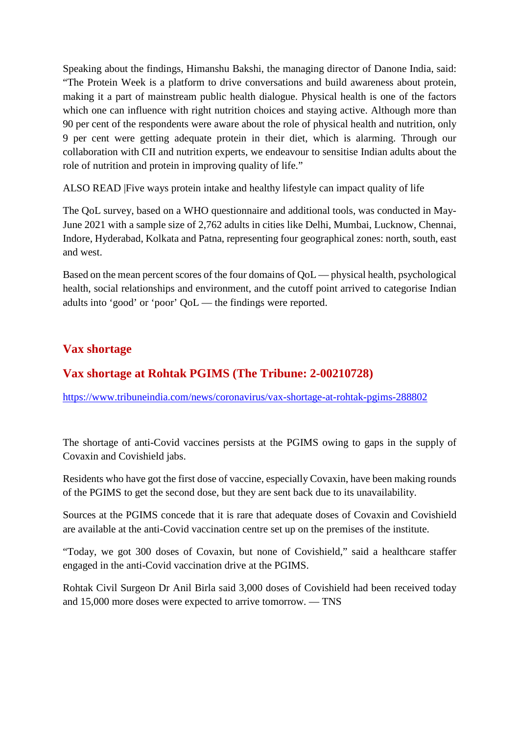Speaking about the findings, Himanshu Bakshi, the managing director of Danone India, said: "The Protein Week is a platform to drive conversations and build awareness about protein, making it a part of mainstream public health dialogue. Physical health is one of the factors which one can influence with right nutrition choices and staying active. Although more than 90 per cent of the respondents were aware about the role of physical health and nutrition, only 9 per cent were getting adequate protein in their diet, which is alarming. Through our collaboration with CII and nutrition experts, we endeavour to sensitise Indian adults about the role of nutrition and protein in improving quality of life."

ALSO READ |Five ways protein intake and healthy lifestyle can impact quality of life

The QoL survey, based on a WHO questionnaire and additional tools, was conducted in May-June 2021 with a sample size of 2,762 adults in cities like Delhi, Mumbai, Lucknow, Chennai, Indore, Hyderabad, Kolkata and Patna, representing four geographical zones: north, south, east and west.

Based on the mean percent scores of the four domains of QoL — physical health, psychological health, social relationships and environment, and the cutoff point arrived to categorise Indian adults into 'good' or 'poor' QoL — the findings were reported.

#### **Vax shortage**

## **Vax shortage at Rohtak PGIMS (The Tribune: 2-00210728)**

https://www.tribuneindia.com/news/coronavirus/vax-shortage-at-rohtak-pgims-288802

The shortage of anti-Covid vaccines persists at the PGIMS owing to gaps in the supply of Covaxin and Covishield jabs.

Residents who have got the first dose of vaccine, especially Covaxin, have been making rounds of the PGIMS to get the second dose, but they are sent back due to its unavailability.

Sources at the PGIMS concede that it is rare that adequate doses of Covaxin and Covishield are available at the anti-Covid vaccination centre set up on the premises of the institute.

"Today, we got 300 doses of Covaxin, but none of Covishield," said a healthcare staffer engaged in the anti-Covid vaccination drive at the PGIMS.

Rohtak Civil Surgeon Dr Anil Birla said 3,000 doses of Covishield had been received today and 15,000 more doses were expected to arrive tomorrow. — TNS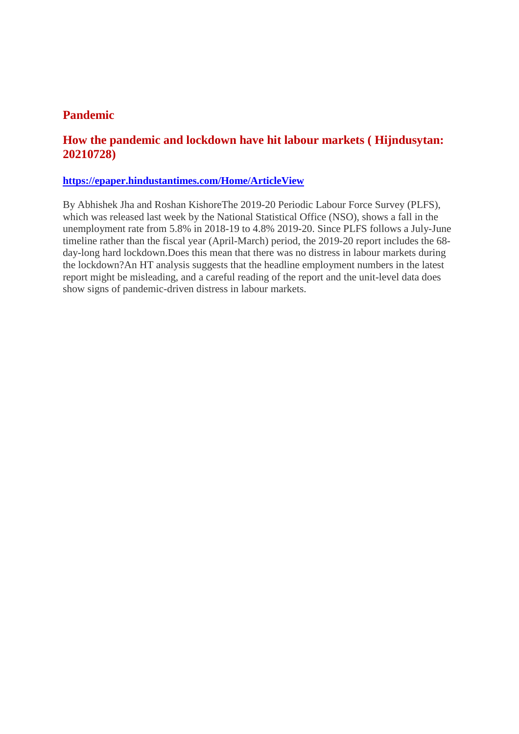#### **Pandemic**

#### **How the pandemic and lockdown have hit labour markets ( Hijndusytan: 20210728)**

#### **https://epaper.hindustantimes.com/Home/ArticleView**

By Abhishek Jha and Roshan KishoreThe 2019-20 Periodic Labour Force Survey (PLFS), which was released last week by the National Statistical Office (NSO), shows a fall in the unemployment rate from 5.8% in 2018-19 to 4.8% 2019-20. Since PLFS follows a July-June timeline rather than the fiscal year (April-March) period, the 2019-20 report includes the 68 day-long hard lockdown.Does this mean that there was no distress in labour markets during the lockdown?An HT analysis suggests that the headline employment numbers in the latest report might be misleading, and a careful reading of the report and the unit-level data does show signs of pandemic-driven distress in labour markets.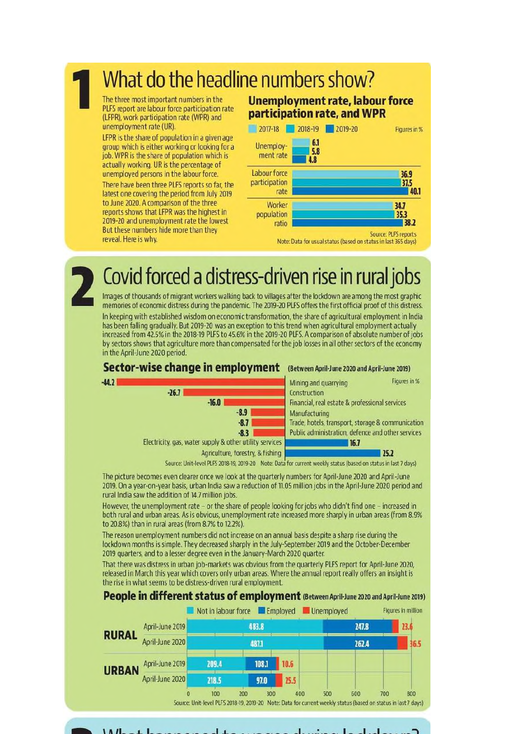# What do the headline numbers show?

The three most important numbers in the PLFS report are labour force participation rate (LFPR), work participation rate (WPR) and unemployment rate (UR).

LFPR is the share of population in a given age group which is either working or looking for a job. WPR is the share of population which is actually working. UR is the percentage of unemployed persons in the labour force. There have been three PLFS reports so far, the latest one covering the period from July 2019 to June 2020. A comparison of the three reports shows that LFPR was the highest in 2019-20 and unemployment rate the lowest But these numbers hide more than they reveal. Here is why.

#### **Unemployment rate, labour force** participation rate, and WPR



# Covid forced a distress-driven rise in rural jobs

Images of thousands of migrant workers walking back to villages after the lockdown are among the most graphic memories of economic distress during the pandemic. The 2019-20 PLFS offers the first official proof of this distress.

In keeping with established wisdom on economic transformation, the share of agricultural employment in India has been falling gradually. But 2019-20 was an exception to this trend when agricultural employment actually increased from 42.5% in the 2018-19 PLFS to 45.6% in the 2019-20 PLFS. A comparison of absolute number of jobs by sectors shows that agriculture more than compensated for the job losses in all other sectors of the economy in the April-June 2020 period.



Source: Unit-level PLFS 2018-19, 2019-20 Note: Data for current weekly status (based on status in last 7 days)

The picture becomes even clearer once we look at the quarterly numbers for April-June 2020 and April-June 2019. On a year-on-year basis, urban India saw a reduction of 11.05 million jobs in the April-June 2020 period and rural India saw the addition of 14.7 million jobs.

However, the unemployment rate - or the share of people looking for jobs who didn't find one - increased in both rural and urban areas. As is obvious, unemployment rate increased more sharply in urban areas (from 8.9% to 20.8%) than in rural areas (from 8.7% to 12.2%).

The reason unemployment numbers did not increase on an annual basis despite a sharp rise during the lockdown months is simple. They decreased sharply in the July-September 2019 and the October-December 2019 quarters, and to a lesser degree even in the January-March 2020 quarter.

That there was distress in urban job-markets was obvious from the quarterly PLFS report for April-June 2020, released in March this year which covers only urban areas. Where the annual report really offers an insight is the rise in what seems to be distress-driven rural employment.

#### People in different status of employment (Between April-June 2020 and April-June 2019)





 $111.1$ п.  $\mathbf{I}$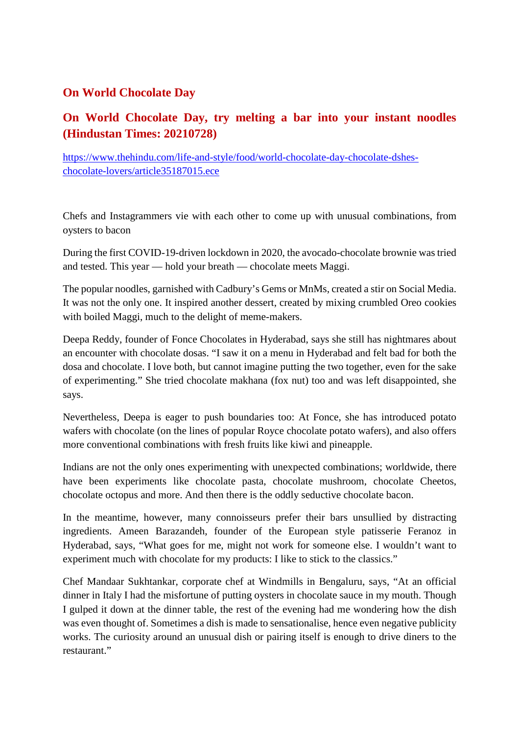#### **On World Chocolate Day**

## **On World Chocolate Day, try melting a bar into your instant noodles (Hindustan Times: 20210728)**

https://www.thehindu.com/life-and-style/food/world-chocolate-day-chocolate-dsheschocolate-lovers/article35187015.ece

Chefs and Instagrammers vie with each other to come up with unusual combinations, from oysters to bacon

During the first COVID-19-driven lockdown in 2020, the avocado-chocolate brownie was tried and tested. This year — hold your breath — chocolate meets Maggi.

The popular noodles, garnished with Cadbury's Gems or MnMs, created a stir on Social Media. It was not the only one. It inspired another dessert, created by mixing crumbled Oreo cookies with boiled Maggi, much to the delight of meme-makers.

Deepa Reddy, founder of Fonce Chocolates in Hyderabad, says she still has nightmares about an encounter with chocolate dosas. "I saw it on a menu in Hyderabad and felt bad for both the dosa and chocolate. I love both, but cannot imagine putting the two together, even for the sake of experimenting." She tried chocolate makhana (fox nut) too and was left disappointed, she says.

Nevertheless, Deepa is eager to push boundaries too: At Fonce, she has introduced potato wafers with chocolate (on the lines of popular Royce chocolate potato wafers), and also offers more conventional combinations with fresh fruits like kiwi and pineapple.

Indians are not the only ones experimenting with unexpected combinations; worldwide, there have been experiments like chocolate pasta, chocolate mushroom, chocolate Cheetos, chocolate octopus and more. And then there is the oddly seductive chocolate bacon.

In the meantime, however, many connoisseurs prefer their bars unsullied by distracting ingredients. Ameen Barazandeh, founder of the European style patisserie Feranoz in Hyderabad, says, "What goes for me, might not work for someone else. I wouldn't want to experiment much with chocolate for my products: I like to stick to the classics."

Chef Mandaar Sukhtankar, corporate chef at Windmills in Bengaluru, says, "At an official dinner in Italy I had the misfortune of putting oysters in chocolate sauce in my mouth. Though I gulped it down at the dinner table, the rest of the evening had me wondering how the dish was even thought of. Sometimes a dish is made to sensationalise, hence even negative publicity works. The curiosity around an unusual dish or pairing itself is enough to drive diners to the restaurant."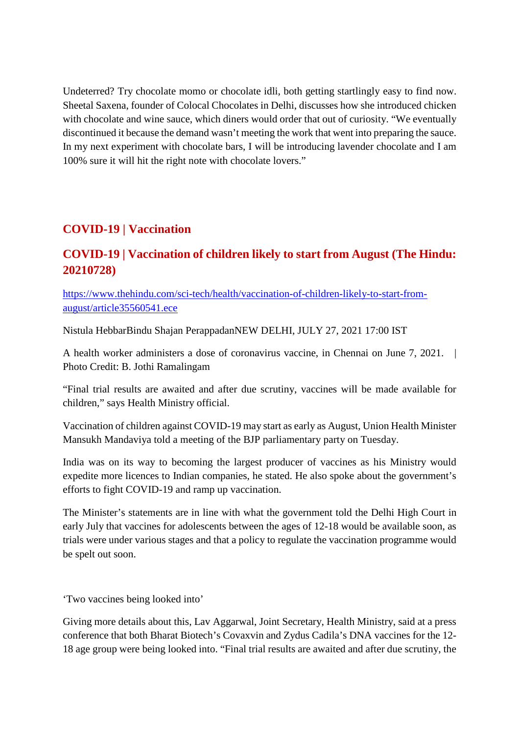Undeterred? Try chocolate momo or chocolate idli, both getting startlingly easy to find now. Sheetal Saxena, founder of Colocal Chocolates in Delhi, discusses how she introduced chicken with chocolate and wine sauce, which diners would order that out of curiosity. "We eventually discontinued it because the demand wasn't meeting the work that went into preparing the sauce. In my next experiment with chocolate bars, I will be introducing lavender chocolate and I am 100% sure it will hit the right note with chocolate lovers."

# **COVID-19 | Vaccination**

## **COVID-19 | Vaccination of children likely to start from August (The Hindu: 20210728)**

https://www.thehindu.com/sci-tech/health/vaccination-of-children-likely-to-start-fromaugust/article35560541.ece

Nistula HebbarBindu Shajan PerappadanNEW DELHI, JULY 27, 2021 17:00 IST

A health worker administers a dose of coronavirus vaccine, in Chennai on June 7, 2021. Photo Credit: B. Jothi Ramalingam

"Final trial results are awaited and after due scrutiny, vaccines will be made available for children," says Health Ministry official.

Vaccination of children against COVID-19 may start as early as August, Union Health Minister Mansukh Mandaviya told a meeting of the BJP parliamentary party on Tuesday.

India was on its way to becoming the largest producer of vaccines as his Ministry would expedite more licences to Indian companies, he stated. He also spoke about the government's efforts to fight COVID-19 and ramp up vaccination.

The Minister's statements are in line with what the government told the Delhi High Court in early July that vaccines for adolescents between the ages of 12-18 would be available soon, as trials were under various stages and that a policy to regulate the vaccination programme would be spelt out soon.

'Two vaccines being looked into'

Giving more details about this, Lav Aggarwal, Joint Secretary, Health Ministry, said at a press conference that both Bharat Biotech's Covaxvin and Zydus Cadila's DNA vaccines for the 12- 18 age group were being looked into. "Final trial results are awaited and after due scrutiny, the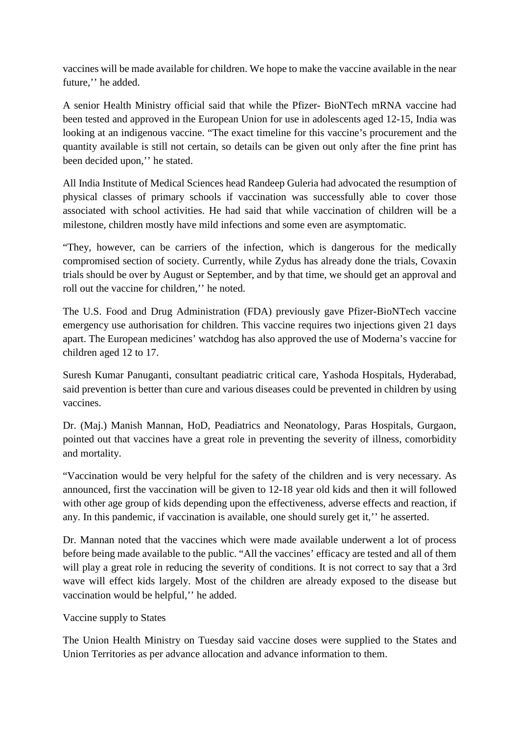vaccines will be made available for children. We hope to make the vaccine available in the near future,'' he added.

A senior Health Ministry official said that while the Pfizer- BioNTech mRNA vaccine had been tested and approved in the European Union for use in adolescents aged 12-15, India was looking at an indigenous vaccine. "The exact timeline for this vaccine's procurement and the quantity available is still not certain, so details can be given out only after the fine print has been decided upon,'' he stated.

All India Institute of Medical Sciences head Randeep Guleria had advocated the resumption of physical classes of primary schools if vaccination was successfully able to cover those associated with school activities. He had said that while vaccination of children will be a milestone, children mostly have mild infections and some even are asymptomatic.

"They, however, can be carriers of the infection, which is dangerous for the medically compromised section of society. Currently, while Zydus has already done the trials, Covaxin trials should be over by August or September, and by that time, we should get an approval and roll out the vaccine for children,'' he noted.

The U.S. Food and Drug Administration (FDA) previously gave Pfizer-BioNTech vaccine emergency use authorisation for children. This vaccine requires two injections given 21 days apart. The European medicines' watchdog has also approved the use of Moderna's vaccine for children aged 12 to 17.

Suresh Kumar Panuganti, consultant peadiatric critical care, Yashoda Hospitals, Hyderabad, said prevention is better than cure and various diseases could be prevented in children by using vaccines.

Dr. (Maj.) Manish Mannan, HoD, Peadiatrics and Neonatology, Paras Hospitals, Gurgaon, pointed out that vaccines have a great role in preventing the severity of illness, comorbidity and mortality.

"Vaccination would be very helpful for the safety of the children and is very necessary. As announced, first the vaccination will be given to 12-18 year old kids and then it will followed with other age group of kids depending upon the effectiveness, adverse effects and reaction, if any. In this pandemic, if vaccination is available, one should surely get it,'' he asserted.

Dr. Mannan noted that the vaccines which were made available underwent a lot of process before being made available to the public. "All the vaccines' efficacy are tested and all of them will play a great role in reducing the severity of conditions. It is not correct to say that a 3rd wave will effect kids largely. Most of the children are already exposed to the disease but vaccination would be helpful,'' he added.

Vaccine supply to States

The Union Health Ministry on Tuesday said vaccine doses were supplied to the States and Union Territories as per advance allocation and advance information to them.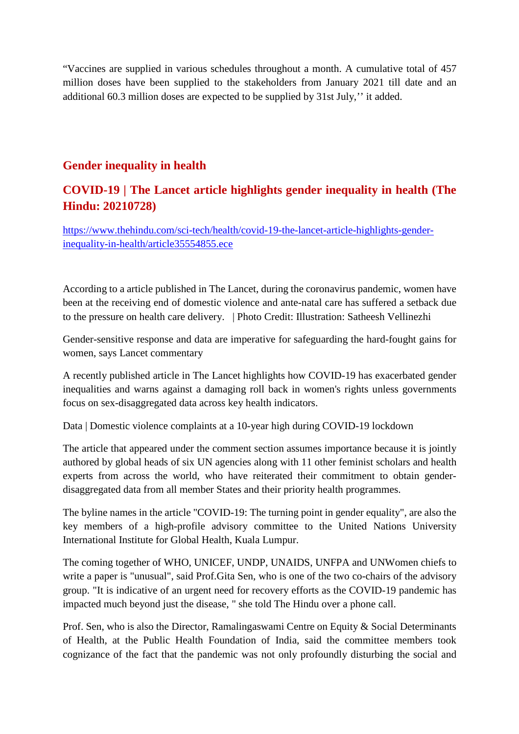"Vaccines are supplied in various schedules throughout a month. A cumulative total of 457 million doses have been supplied to the stakeholders from January 2021 till date and an additional 60.3 million doses are expected to be supplied by 31st July,'' it added.

#### **Gender inequality in health**

## **COVID-19 | The Lancet article highlights gender inequality in health (The Hindu: 20210728)**

https://www.thehindu.com/sci-tech/health/covid-19-the-lancet-article-highlights-genderinequality-in-health/article35554855.ece

According to a article published in The Lancet, during the coronavirus pandemic, women have been at the receiving end of domestic violence and ante-natal care has suffered a setback due to the pressure on health care delivery. | Photo Credit: Illustration: Satheesh Vellinezhi

Gender-sensitive response and data are imperative for safeguarding the hard-fought gains for women, says Lancet commentary

A recently published article in The Lancet highlights how COVID-19 has exacerbated gender inequalities and warns against a damaging roll back in women's rights unless governments focus on sex-disaggregated data across key health indicators.

Data | Domestic violence complaints at a 10-year high during COVID-19 lockdown

The article that appeared under the comment section assumes importance because it is jointly authored by global heads of six UN agencies along with 11 other feminist scholars and health experts from across the world, who have reiterated their commitment to obtain genderdisaggregated data from all member States and their priority health programmes.

The byline names in the article "COVID-19: The turning point in gender equality", are also the key members of a high-profile advisory committee to the United Nations University International Institute for Global Health, Kuala Lumpur.

The coming together of WHO, UNICEF, UNDP, UNAIDS, UNFPA and UNWomen chiefs to write a paper is "unusual", said Prof.Gita Sen, who is one of the two co-chairs of the advisory group. "It is indicative of an urgent need for recovery efforts as the COVID-19 pandemic has impacted much beyond just the disease, " she told The Hindu over a phone call.

Prof. Sen, who is also the Director, Ramalingaswami Centre on Equity & Social Determinants of Health, at the Public Health Foundation of India, said the committee members took cognizance of the fact that the pandemic was not only profoundly disturbing the social and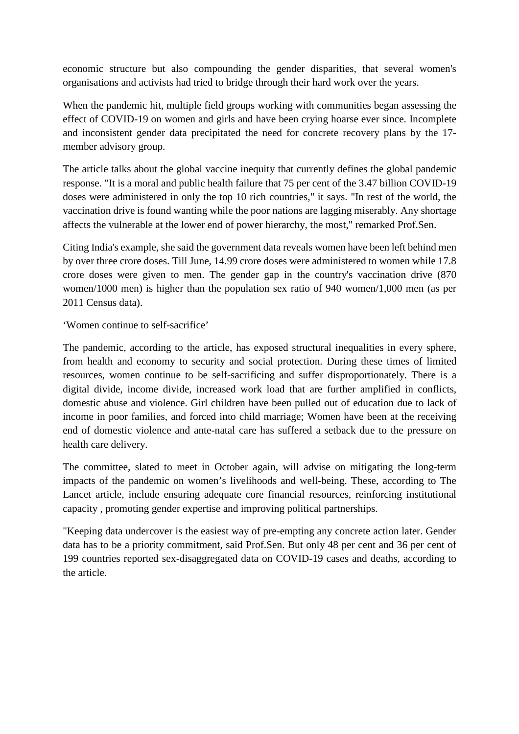economic structure but also compounding the gender disparities, that several women's organisations and activists had tried to bridge through their hard work over the years.

When the pandemic hit, multiple field groups working with communities began assessing the effect of COVID-19 on women and girls and have been crying hoarse ever since. Incomplete and inconsistent gender data precipitated the need for concrete recovery plans by the 17 member advisory group.

The article talks about the global vaccine inequity that currently defines the global pandemic response. "It is a moral and public health failure that 75 per cent of the 3.47 billion COVID-19 doses were administered in only the top 10 rich countries," it says. "In rest of the world, the vaccination drive is found wanting while the poor nations are lagging miserably. Any shortage affects the vulnerable at the lower end of power hierarchy, the most," remarked Prof.Sen.

Citing India's example, she said the government data reveals women have been left behind men by over three crore doses. Till June, 14.99 crore doses were administered to women while 17.8 crore doses were given to men. The gender gap in the country's vaccination drive (870 women/1000 men) is higher than the population sex ratio of 940 women/1,000 men (as per 2011 Census data).

'Women continue to self-sacrifice'

The pandemic, according to the article, has exposed structural inequalities in every sphere, from health and economy to security and social protection. During these times of limited resources, women continue to be self-sacrificing and suffer disproportionately. There is a digital divide, income divide, increased work load that are further amplified in conflicts, domestic abuse and violence. Girl children have been pulled out of education due to lack of income in poor families, and forced into child marriage; Women have been at the receiving end of domestic violence and ante-natal care has suffered a setback due to the pressure on health care delivery.

The committee, slated to meet in October again, will advise on mitigating the long-term impacts of the pandemic on women's livelihoods and well-being. These, according to The Lancet article, include ensuring adequate core financial resources, reinforcing institutional capacity , promoting gender expertise and improving political partnerships.

"Keeping data undercover is the easiest way of pre-empting any concrete action later. Gender data has to be a priority commitment, said Prof.Sen. But only 48 per cent and 36 per cent of 199 countries reported sex-disaggregated data on COVID-19 cases and deaths, according to the article.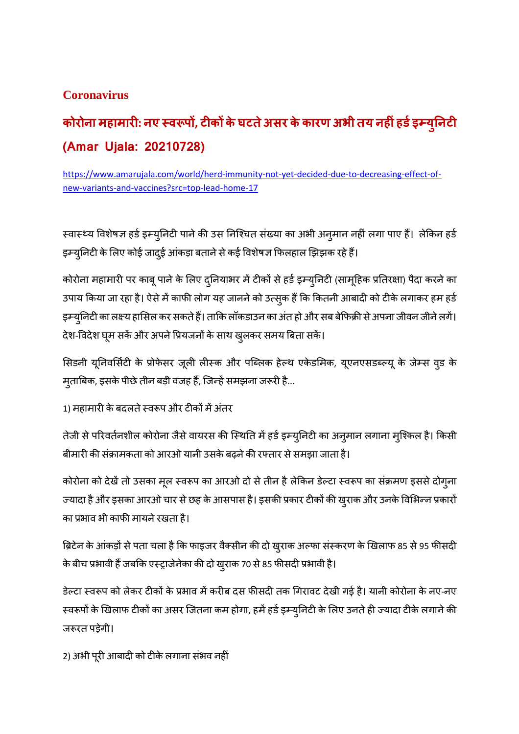### **Coronavirus**

# **कोरोना महामार: नए व प, टककेघटतेअसर केकारण अभी तय नहंहडइय ु नट (Amar Ujala: 20210728)**

https://www.amarujala.com/world/herd-immunity-not-yet-decided-due-to-decreasing-effect-ofnew-variants-and-vaccines?src=top-lead-home-17

स्वास्थ्य विशेषज्ञ हर्ड इम्युनिटी पाने की उस निश्चित संख्या का अभी अनुमान नहीं लगा पाए हैं। लेकिन हर्ड इम्युनिटी के लिए कोई जादुई आंकड़ा बताने से कई विशेषज्ञ फिलहाल झिझक रहे हैं।

कोरोना महामारी पर काबू पाने के लिए दुनियाभर में टीकों से हर्ड इम्युनिटी (सामूहिक प्रतिरक्षा) पैदा करने का उपाय किया जा रहा है। ऐसे में काफी लोग यह जानने को उत्सुक हैं कि कितनी आबादी को टीके लगाकर हम हर्ड इम्युनिटी का लक्ष्य हासिल कर सकते हैं। ताकि लॉकडाउन का अंत हो और सब बेफिक्री से अपना जीवन जीने लगें। देश-विदेश घूम सकें और अपने प्रियजनों के साथ खुलकर समय बिता सकें।

सिडनी यूनिवर्सिटी के प्रोफेसर जूली लीस्क और पब्लिक हेल्थ एकेडमिक, यूएनएसडब्ल्यू के जेम्स व्ड के मृताबिक, इसके पीछे तीन बड़ी वजह हैं, जिन्हें समझना जरूरी है...

1) महामारी के बदलते स्वरूप और टीकों में अंतर

तेजी से परिवर्तनशील कोरोना जैसे वायरस की स्थिति में हर्ड इम्युनिटी का अन् मान लगाना म्शिकल है। किसी बीमारी की संक्रामकता को आरओ यानी उसके बढ़ने की रफ्तार से समझा जाता है।

कोरोना को देखें तो उसका मूल स्वरूप का आरओ दो से तीन है लेकिन डेल्टा स्वरूप का संक्रमण इससे दोग्ना ज्यादा है और इसका आरओ चार से छह के आसपास है। इसकी प्रकार टीकों की खुराक और उनके विभिन्न प्रकारों का प्रभाव भी काफी मायने रखता है।

ब्रिटेन के आंकड़ों से पता चला है कि फाइजर वैक्सीन की दो खुराक अल्फा संस्करण के खिलाफ 85 से 95 फीसदी के बीच प्रभावी हैं जबकि एस्ट्राजेनेका की दो खुराक 70 से 85 फीसदी प्रभावी है।

डेल्टा स्वरूप को लेकर टीकों के प्रभाव में करीब दस फीसदी तक गिरावट देखी गई है। यानी कोरोना के नए-नए स्वरूपों के खिलाफ टीकों का असर जितना कम होगा, हमें हर्ड इम्युनिटी के लिए उनते ही ज्यादा टीके लगाने की जरूरत पड़ेगी।

2) अभी पूरी आबादी को टीके लगाना संभव नहीं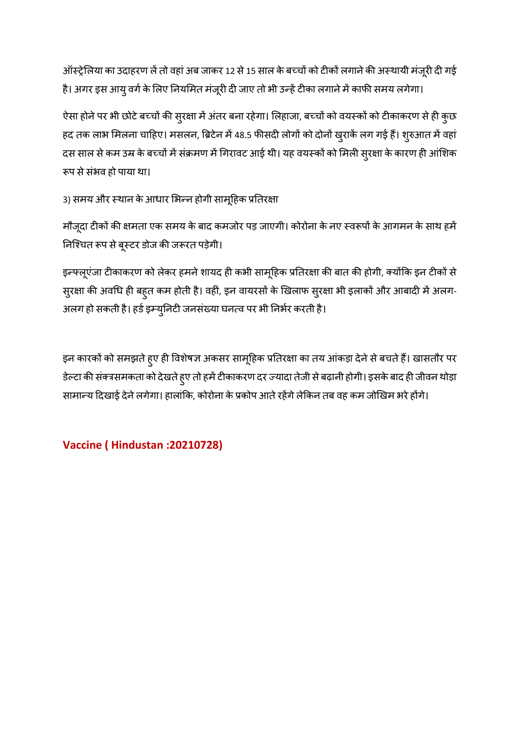ऑस्ट्रेलिया का उदाहरण लें तो वहां अब जाकर 12 से 15 साल के बच्चों को टीकों लगाने की अस्थायी मंजूरी दी गई है। अगर इस आयु वर्ग के लिए नियमित मंजूरी दी जाए तो भी उन्हें टीका लगाने में काफी समय लगेगा।

ऐसा होने पर भी छोटे बच्चों की सुरक्षा में अंतर बना रहेगा। लिहाजा, बच्चों को वयस्कों को टीकाकरण से ही कुछ हद तक लाभ मिलना चाहिए। मसलन, ब्रिटेन में 48.5 फीसदी लोगों को दोनों खुराकें लग गई हैं। शुरुआत में वहां दस साल से कम उम्र के बच्चों में संक्रमण में गिरावट आई थी। यह वयस्कों को मिली स्**रक्षा के कारण ही आंशिक** रूप से संभव हो पाया था।

3) समय और स्थान के आधार भिन्न होगी सामूहिक प्रतिरक्षा

मौजूदा टीकों की क्षमता एक समय के बाद कमजोर पड़ जाएगी। कोरोना के नए स्वरूपों के आगमन के साथ हमें निश्चित रूप से बूस्टर डोज की जरूरत पड़ेगी।

इन्फ्लूएंजा टीकाकरण को लेकर हमने शायद ही कभी सामूहिक प्रतिरक्षा की बात की होगी, क्योंकि इन टीकों से स्रक्षा की अवधि ही बहुत कम होती है। वहीं, इन वायरसों के खिलाफ स्रस्ता भी इलाकों और आबादी में अलग-अलग हो सकती है। हर्ड इम्युनिटी जनसंख्या घनत्व पर भी निर्भर करती है।

इन कारकों को समझते हुए ही विशेषज्ञ अकसर सामूहिक प्रतिरक्षा का तय आंकड़ा देने से बचते हैं। खासतौर पर डेल्टा की संक्त्रसमकता को देखते हुए तो हमें टीकाकरण दर ज्यादा तेजी से बढ़ानी होगी। इसके बाद ही जीवन थोड़ा सामान्य दिखाई देने लगेगा। हालांकि, कोरोना के प्रकोप आते रहेंगे लेकिन तब वह कम जोखिम भरे होंगे।

### **Vaccine ( Hindustan :20210728)**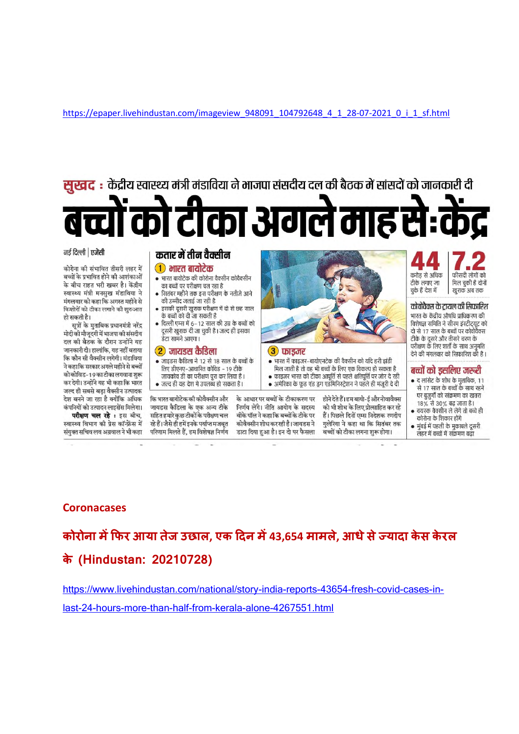https://epaper.livehindustan.com/imageview\_948091\_104792648\_4\_1\_28-07-2021\_0\_i\_1\_sf.html



कंपनियों को उत्पादन लाइसेंस मिलेगा। परीक्षण चल रहे : इस बीच, स्वास्थ्य विभाग की प्रेस कॉन्फ्रेंस में

संयुक्त सचिव लव अग्रवाल ने भी कहा

जायडस कैडिला के एक अन्य टीके सहित हमारे कुछ टीकों के परीक्षण चल रहे हैं। जैसे ही हमें इनके पर्याप्त मजबूत परिणाम मिलते हैं, हम विशेषज्ञ निर्णय

के आधार पर बच्चों के टीकाकरण पर निर्णय लेंगे। नीति आयोग के सदस्य वीके पॉल ने कहा कि बच्चों के टीके पर कोवैक्सीन शोध कर रही है। जायडस ने डाटा दिया हुआ है। इन दो पर फैसला

होने देते हैं। हम बायो-ई और नोवावैक्स को भी शोध के लिए प्रोत्साहित कर रहे हैं। पिछले दिनों एम्स निदेशक रणदीप गुलेरिया ने कहा था कि सितंबर तक बच्चों को टीका लगना शुरू होगा।

18% से 30% बढ़ जाता है। वयस्क वैक्सीन ले लेंगे तो बच्चे ही

कोरोना के शिकार होंगे मुंबई में पहली के मुकाबले दूसरी  $\bullet$ लहर में बच्चों में संक्रमण बढ़ा

#### **Coronacases**

**कोरोना मफर आया तेज उछाल, एक दन म43,654 मामले, आधेसेयादा केस केरल के (Hindustan: 20210728)**

https://www.livehindustan.com/national/story-india-reports-43654-fresh-covid-cases-in-

last-24-hours-more-than-half-from-kerala-alone-4267551.html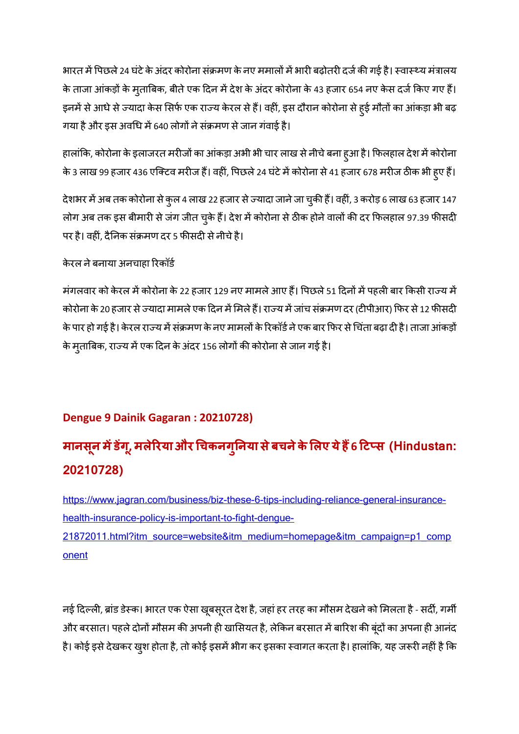भारत में पिछले 24 घंटे के अंदर कोरोना संक्रमण के नए ममालों में भारी बढ़ोतरी दर्ज की गई है। स्वास्थ्य मंत्रालय के ताजा आंकड़ों के मुताबिक, बीते एक दिन में देश के अंदर कोरोना के 43 हजार 654 नए केस दर्ज किए गए हैं। इनमें से आधे से ज्यादा केस सिर्फ एक राज्य केरल से हैं। वहीं, इस दौरान कोरोना से हुई मौतों का आंकड़ा भी बढ़ गया है और इस अवधि में 640 लोगों ने संक्रमण से जान गंवाई है।

हालांकि, कोरोना के इलाजरत मरीजों का आंकड़ा अभी भी चार लाख से नीचे बना हुआ है। फिलहाल देश में कोरोना के 3 लाख 99 हजार 436 एक्टिव मरीज हैं। वहीं, पिछले 24 घंटे में कोरोना से 41 हजार 678 मरीज ठीक भी हुए हैं।

देशभर में अब तक कोरोना से कुल 4 लाख 22 हजार से ज्यादा जाने जा चुकी हैं। वहीं, 3 करोड़ 6 लाख 63 हजार 147 लोग अब तक इस बीमारी से जंग जीत चुके हैं। देश में कोरोना से ठीक होने वालों की दर फिलहाल 97.39 फीसदी पर है। वहीं, दैनिक संक्रमण दर 5 फीसदी से नीचे है।

केरल नेबनाया अनचाहा रकॉड

मंगलवार को केरल में कोरोना के 22 हजार 129 नए मामले आए हैं। पिछले 51 दिनों में पहली बार किसी राज्य में कोरोना के 20 हजार से ज्यादा मामले एक दिन में मिले हैं। राज्य में जांच संक्रमण दर (टीपीआर) फिर से 12 फीसदी के पार हो गई है। केरल राज्य में संक्रमण के नए मामलों के रिकॉर्ड ने एक बार फिर से चिंता बढ़ा दी है। ताजा आंकड़ों के मुताबिक, राज्य में एक दिन के अंदर 156 लोगों की कोरोना से जान गई है।

### **Dengue 9 Dainik Gagaran : 20210728)**

# **मानसन ू मडग,ू मलेरयाऔर चकनग ु नया सेबचनेकेलए येह6 टस (Hindustan: 20210728)**

https://www.jagran.com/business/biz-these-6-tips-including-reliance-general-insurancehealth-insurance-policy-is-important-to-fight-dengue-21872011.html?itm\_source=website&itm\_medium=homepage&itm\_campaign=p1\_comp onent

नई दिल्ली, ब्रांड डेस्क। भारत एक ऐसा खूबसूरत देश है, जहां हर तरह का मौसम देखने को मिलता है - सर्दी, गर्मी ओर बरसात। पहले दोनों मौसम की अपनी ही खासियत है, लेकिन बरसात में बारिश की बूंदों का अपना ही आनंद है। कोई इसे देखकर खुश होता है, तो कोई इसमें भीग कर इसका स्वागत करता है। हालांकि, यह जरूरी नहीं है कि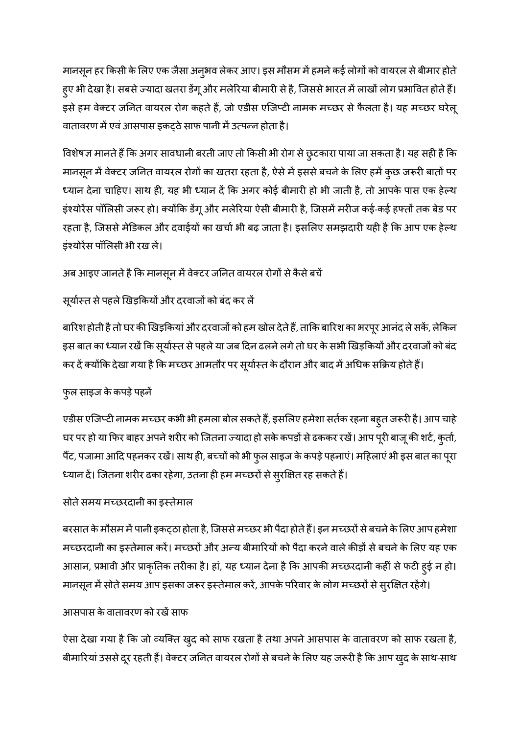मानसून हर किसी के लिए एक जैसा अनुभव लेकर आए। इस मौसम में हमने कई लोगों को वायरल से बीमार होते हुए भी देखा है। सबसे ज्यादा खतरा डेंगू और मलेरिया बीमारी से है, जिससे भारत में लाखों लोग प्रभावित होते हैं। इसे हम वेक्टर जनित वायरल रोग कहते हैं, जो एडीस एजिप्टी नामक मच्छर से फैलता है। यह मच्छर घरेलू वातावरण में एवं आसपास इकटठे साफ पानी में उत्पन्न होता है।

विशेषज्ञ मानते हैं कि अगर सावधानी बरती जाए तो किसी भी रोग से छुटकारा पाया जा सकता है। यह सही है कि मानसून में वेक्टर जनित वायरल रोगों का खतरा रहता है, ऐसे में इससे बचने के लिए हमें कुछ जरूरी बातों पर ध्यान देना चाहिए। साथ ही, यह भी ध्यान दें कि अगर कोई बीमारी हो भी जाती है, तो आपके पास एक हेल्थ इंश्योरेंस पॉलिसी जरूर हो। क्योंकि डेंगू और मलेरिया ऐसी बीमारी है, जिसमें मरीज कई-कई हफ्तों तक बेड पर रहता है, जिससे मेडिकल और दवाईयों का खर्चा भी बढ़ जाता है। इसलिए समझदारी यही है कि आप एक हेल्थ इंयोरस पॉलसी भी रख ल।

## अब आइए जानते है कि मानसून में वेक्टर जनित वायरल रोगों से कैसे बचें

#### सूर्यास्त से पहले खिड़कियों और दरवाजों को बंद कर लें

बारिश होती है तो घर की खिड़कियां और दरवाजों को हम खोल देते हैं, ताकि बारिश का भरपूर आनंद ले सकें, लेकिन इस बात का ध्यान रखें कि सूर्यास्त से पहले या जब दिन ढलने लगे तो घर के सभी खिड़कियों और दरवाजों को बंद कर दें क्योंकि देखा गया है कि मच्छर आमतौर पर सूर्यास्त के दौरान और बाद में अधिक सक्रिय होते हैं।

#### फ्*ल साइज के कपड़े पहनें*

एडीस एजिप्टी नामक मच्छर कभी भी हमला बोल सकते हैं, इसलिए हमेशा सर्तक रहना बहुत जरूरी है। आप चाहे घर पर हो या फिर बाहर अपने शरीर को जितना ज्यादा हो सके कपड़ों से ढककर रखें। आप पूरी बाजू की शर्ट, कुर्ता, पैंट, पजामा आदि पहनकर रखें। साथ ही, बच्चों को भी फुल साइज के कपड़े पहनाएं। महिलाएं भी इस बात का पूरा ध्यान दें। जितना शरीर ढका रहेगा, उतना ही हम मच्छरों से स्**रक्षित रह सकते** हैं।

#### सोते समय मच्छरदानी का इस्तेमाल

बरसात के मौसम में पानी इकट्ठा होता है, जिससे मच्छर भी पैदा होते हैं। इन मच्छरों से बचने के लिए आप हमेशा मच्छरदानी का इस्तेमाल करें। मच्छरों और अन्य बीमारियों को पैदा करने वाले कीड़ों से बचने के लिए यह एक आसान, प्रभावी और प्राकृतिक तरीका है। हां, यह ध्यान देना है कि आपकी मच्छरदानी कहीं से फटी हुई न हो। मानसून में सोते समय आप इसका जरूर इस्तेमाल करें, आपके परिवार के लोग मच्छरों से सुरक्षित रहेंगे।

#### आसपास के वातावरण को रखें साफ

ऐसा देखा गया है कि जो व्यक्ति खुद को साफ रखता है तथा अपने आसपास के वातावरण को साफ रखता है, बीमारियां उससे दूर रहती हैं। वेक्टर जनित वायरल रोगों से बचने के लिए यह जरूरी है कि आप खुद के साथ-साथ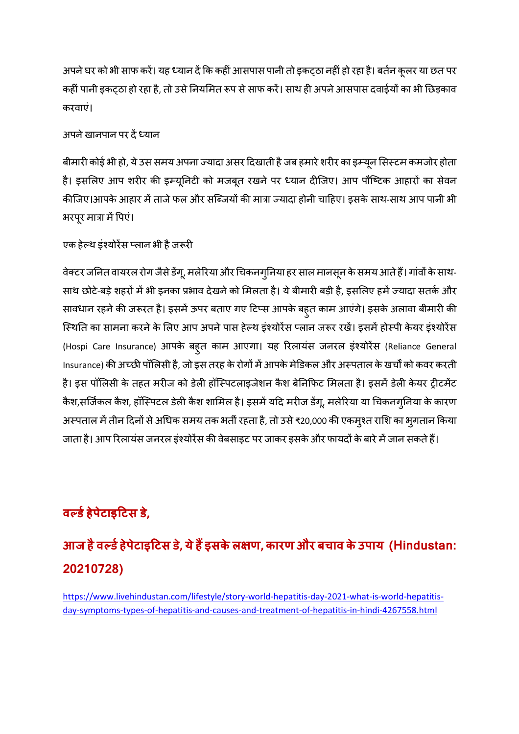अपने घर को भी साफ करें। यह ध्यान दें कि कहीं आसपास पानी तो इकट़ठा नहीं हो रहा है। बर्तन कुलर या छत पर कहीं पानी इकट्ठा हो रहा है, तो उसे नियमित रूप से साफ करें। साथ ही अपने आसपास दवाईयों का भी छिड़काव करवाएं।

#### अपने खानपान पर दें ध्यान

बीमारी कोई भी हो, ये उस समय अपना ज्यादा असर दिखाती है जब हमारे शरीर का इम्यून सिस्टम कमजोर होता है। इसलिए आप शरीर की इम्यूनिटी को मजबूत रखने पर ध्यान दीजिए। आप पौष्टिक आहारों का सेवन कीजिए।आपके आहार में ताजे फल और सब्जियों की मात्रा ज्यादा होनी चाहिए। इसके साथ-साथ आप पानी भी भरपूर मात्रा में पिएं।

एक हेल्थ इंश्योरेंस प्लान भी है जरूरी

वेक्टर जनित वायरल रोग जैसे डेंगू, मलेरिया और चिकनगुनिया हर साल मानसून के समय आते हैं। गांवों के साथ-साथ छोटे-बड़े शहरों में भी इनका प्रभाव देखने को मिलता है। ये बीमारी बड़ी है, इसलिए हमें ज्यादा सतर्क और सावधान रहने की जरूरत है। इसमें ऊपर बताए गए टिप्स आपके बहुत काम आएंगे। इसके अलावा बीमारी की स्थिति का सामना करने के लिए आप अपने पास हेल्थ इंश्योरेंस प्लान जरूर रखें। इसमें होस्पी केयर इंश्योरेंस (Hospi Care Insurance) आपके बहुत काम आएगा। यह रलायसं जनरल इंयोरस (Reliance General Insurance) की अच्छी पॉलिसी है, जो इस तरह के रोगों में आपके मेडिकल और अस्पताल के खर्चों को कवर करती है। इस पॉलिसी के तहत मरीज को डेली हॉस्पिटलाइजेशन कैश बेनिफिट मिलता है। इसमें डेली केयर ट्रीटमेंट कैश,सर्जिकल कैश, हॉस्पिटल डेली कैश शामिल है। इसमें यदि मरीज डेंगू, मलेरिया या चिकनग्निया के कारण अस्पताल में तीन दिनों से अधिक समय तक भर्ती रहता है, तो उसे ₹20,000 की एकमुश्त राशि का भुगतान किया जाता है। आप रिलायंस जनरल इंश्योरेंस की वेबसाइट पर जाकर इसके और फायदों के बारे में जान सकते हैं।

# **वडहेपेटाइटस ड,े**

# **आज हैवडहेपेटाइटस ड,ेयेहइसकेल ण, कारण और बचाव केउपाय (Hindustan: 20210728)**

https://www.livehindustan.com/lifestyle/story-world-hepatitis-day-2021-what-is-world-hepatitisday-symptoms-types-of-hepatitis-and-causes-and-treatment-of-hepatitis-in-hindi-4267558.html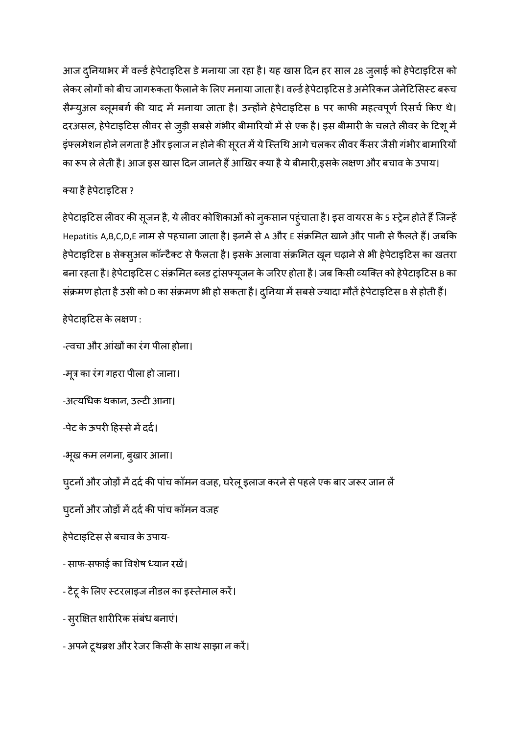आज दुनियाभर में वर्ल्ड हेपेटाइटिस डे मनाया जा रहा है। यह खास दिन हर साल 28 जुलाई को हेपेटाइटिस को लेकर लोगों को बीच जागरूकता फैलाने के लिए मनाया जाता है। वर्ल्ड हेपेटाइटिस डे अमेरिकन जेनेटिसिस्ट बरूच सैम्युअल ब्लूमबर्ग की याद में मनाया जाता है। उन्होंने हेपेटाइटिस в पर काफी महत्वपूर्ण रिसर्च किए थे। दरअसल, हेपेटाइटिस लीवर से जुड़ी सबसे गंभीर बीमारियों में से एक है। इस बीमारी के चलते लीवर के टिशू में इंफ्लमेशन होने लगता है और इलाज न होने की सूरत में ये स्तिथि आगे चलकर लीवर कैंसर जैसी गंभीर बामारियों का रूप ले लेती है। आज इस खास दिन जानते हैं आखिर क्या है ये बीमारी,इसके लक्षण और बचाव के उपाय।

#### या हैहेपेटाइटस ?

हेपेटाइटिस लीवर की सूजन है, ये लीवर कोशिकाओं को नुकसान पहुंचाता है। इस वायरस के 5 स्ट्रेन होते हैं जिन्हें Hepatitis A,B,C,D,E नाम से पहचाना जाता है। इनमें से A और E संक्रमित खाने और पानी से फैलते हैं। जबकि हेपेटाइटिस B सेक्सुअल कॉन्टैक्ट से फैलता है। इसके अलावा संक्रमित खून चढ़ाने से भी हेपेटाइटिस का खतरा बना रहता है। हेपेटाइटिस C संक्रमित ब्लड ट्रांसफ्यूजन के जरिए होता है। जब किसी व्यक्ति को हेपेटाइटिस B का संक्रमण होता है उसी को D का संक्रमण भी हो सकता है। दुनिया में सबसे ज्यादा मौतें हेपेटाइटिस B से होती हैं।

हेपेटाइटिस के लक्षण :

-त्वचा और आंखों का रंग पीला होना।

-मूत्र का रंग गहरा पीला हो जाना।

-अत्यधिक थकान, उल्टी आना।

-पेट के ऊपरी हिस्से में दर्द।

-भूख कम लगना, ब्खार आना।

घुटनों और जोड़ों में दर्द की पांच कॉमन वजह, घरेलू इलाज करने से पहले एक बार जरूर जान लें

घुटनों और जोड़ों में दर्द की पांच कॉमन वजह

हेपेटाइटस सेबचाव केउपाय-

- साफ-सफाई का वशषे यान रख।

- टैटू के लिए स्टरलाइज नीडल का इस्तेमाल करें।

- सुरक्षित शारीरिक संबंध बनाएं।

- अपनेटूथश और रेजर कसी केसाथ साझा न कर।